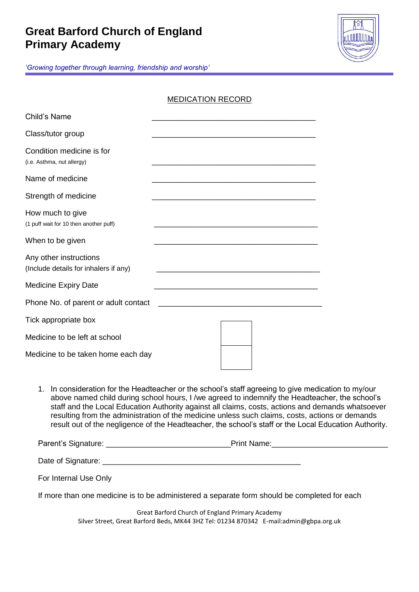## **Great Barford Church of England Primary Academy**



*'Growing together through learning, friendship and worship'*

|                                                                 | <b>MEDICATION RECORD</b> |
|-----------------------------------------------------------------|--------------------------|
| Child's Name                                                    |                          |
| Class/tutor group                                               |                          |
| Condition medicine is for<br>(i.e. Asthma, nut allergy)         |                          |
| Name of medicine                                                |                          |
| Strength of medicine                                            |                          |
| How much to give<br>(1 puff wait for 10 then another puff)      |                          |
| When to be given                                                |                          |
| Any other instructions<br>(Include details for inhalers if any) |                          |
| <b>Medicine Expiry Date</b>                                     |                          |
| Phone No. of parent or adult contact                            |                          |
| Tick appropriate box                                            |                          |
| Medicine to be left at school                                   |                          |
| Medicine to be taken home each day                              |                          |

1. In consideration for the Headteacher or the school's staff agreeing to give medication to my/our above named child during school hours, I /we agreed to indemnify the Headteacher, the school's staff and the Local Education Authority against all claims, costs, actions and demands whatsoever resulting from the administration of the medicine unless such claims, costs, actions or demands result out of the negligence of the Headteacher, the school's staff or the Local Education Authority.

| Parent's Signature: | <b>Print Name:</b> |  |  |  |  |
|---------------------|--------------------|--|--|--|--|
| Date of Signature:  |                    |  |  |  |  |

For Internal Use Only

If more than one medicine is to be administered a separate form should be completed for each

Great Barford Church of England Primary Academy Silver Street, Great Barford Beds, MK44 3HZ Tel: 01234 870342 E-mail:admin@gbpa.org.uk